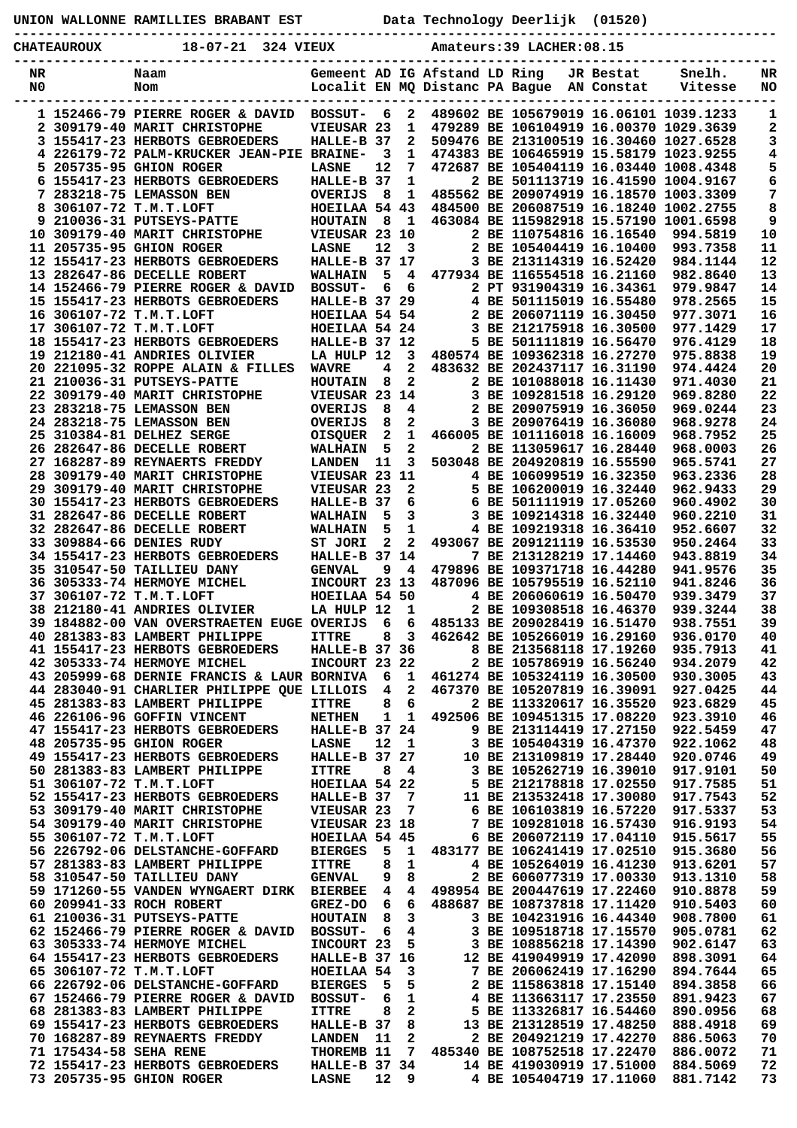|  |  | UNION WALLONNE RAMILLIES BRABANT EST |  |  | Data Technology Deerlijk (01520) |  |  |
|--|--|--------------------------------------|--|--|----------------------------------|--|--|
|--|--|--------------------------------------|--|--|----------------------------------|--|--|

**CHATEAUROUX 18-07-21 324 VIEUX Amateurs:39 LACHER:08.15**

**-----------------------------------------------------------------------------------------------**

| NR  |                        | Naam                                       |                      |                |                | Gemeent AD IG Afstand LD Ring  |                              | JR Bestat  | Snelh.                                 | NR  |
|-----|------------------------|--------------------------------------------|----------------------|----------------|----------------|--------------------------------|------------------------------|------------|----------------------------------------|-----|
| N0  |                        | Nom                                        |                      |                |                | Localit EN MQ Distanc PA Bague |                              | AN Constat | Vitesse                                | NO. |
|     |                        |                                            |                      |                |                |                                |                              |            |                                        |     |
|     |                        | 1 152466-79 PIERRE ROGER & DAVID           | <b>BOSSUT-</b>       | 6              | 2              |                                |                              |            | 489602 BE 105679019 16.06101 1039.1233 | 1   |
|     |                        | 2 309179-40 MARIT CHRISTOPHE               | VIEUSAR 23           |                | 1              |                                |                              |            | 479289 BE 106104919 16.00370 1029.3639 | 2   |
|     |                        | 3 155417-23 HERBOTS GEBROEDERS             | HALLE-B 37           |                | 2              |                                |                              |            | 509476 BE 213100519 16.30460 1027.6528 | 3   |
|     |                        | 4 226179-72 PALM-KRUCKER JEAN-PIE          | <b>BRAINE-</b>       | -3             | 1              |                                |                              |            | 474383 BE 106465919 15.58179 1023.9255 | 4   |
|     |                        | 5 205735-95 GHION ROGER                    | <b>LASNE</b>         | 12             | 7              |                                |                              |            | 472687 BE 105404119 16.03440 1008.4348 | 5   |
| 6.  |                        | 155417-23 HERBOTS GEBROEDERS               | HALLE-B 37           |                | 1              |                                |                              |            | 2 BE 501113719 16.41590 1004.9167      | 6   |
|     |                        | 7 283218-75 LEMASSON BEN                   | <b>OVERIJS</b>       | 8              | 1              |                                |                              |            | 485562 BE 209074919 16.18570 1003.3309 | 7   |
| 8   |                        | 306107-72 T.M.T.LOFT                       | HOEILAA 54 43        |                |                |                                |                              |            | 484500 BE 206087519 16.18240 1002.2755 | 8   |
|     |                        | 9 210036-31 PUTSEYS-PATTE                  | <b>HOUTAIN</b>       | - 8            | - 1            |                                |                              |            | 463084 BE 115982918 15.57190 1001.6598 | 9   |
|     |                        | 10 309179-40 MARIT CHRISTOPHE              | VIEUSAR 23 10        |                |                |                                | 2 BE 110754816 16.16540      |            | 994.5819                               | 10  |
|     |                        | 11 205735-95 GHION ROGER                   | <b>LASNE</b>         | 12             | 3              |                                | 2 BE 105404419 16.10400      |            | 993.7358                               | 11  |
|     |                        | 12 155417-23 HERBOTS GEBROEDERS            | HALLE-B 37 17        |                |                |                                | 3 BE 213114319 16.52420      |            | 984.1144                               | 12  |
|     |                        | 13 282647-86 DECELLE ROBERT                | <b>WALHAIN</b>       | 5              | 4              |                                | 477934 BE 116554518 16.21160 |            | 982.8640                               | 13  |
|     |                        | 14 152466-79 PIERRE ROGER & DAVID          | <b>BOSSUT-</b>       | 6              | 6              |                                | 2 PT 931904319 16.34361      |            | 979.9847                               | 14  |
|     |                        | 15 155417-23 HERBOTS GEBROEDERS            | <b>HALLE-B 37 29</b> |                |                |                                | 4 BE 501115019 16.55480      |            | 978.2565                               | 15  |
|     |                        |                                            |                      |                |                |                                |                              |            |                                        |     |
|     |                        | 16 306107-72 T.M.T.LOFT                    | HOEILAA 54 54        |                |                |                                | 2 BE 206071119 16.30450      |            | 977.3071                               | 16  |
|     |                        | 17 306107-72 T.M.T.LOFT                    | HOEILAA 54 24        |                |                |                                | 3 BE 212175918 16.30500      |            | 977.1429                               | 17  |
|     |                        | 18 155417-23 HERBOTS GEBROEDERS            | HALLE-B 37 12        |                |                |                                | 5 BE 501111819 16.56470      |            | 976.4129                               | 18  |
|     |                        | 19 212180-41 ANDRIES OLIVIER               | LA HULP 12           |                | 3              |                                | 480574 BE 109362318 16.27270 |            | 975.8838                               | 19  |
|     |                        | 20 221095-32 ROPPE ALAIN & FILLES          | <b>WAVRE</b>         | 4              | $\mathbf{2}$   |                                | 483632 BE 202437117 16.31190 |            | 974.4424                               | 20  |
|     |                        | 21 210036-31 PUTSEYS-PATTE                 | <b>HOUTAIN</b>       | 8              | $\mathbf{2}$   |                                | 2 BE 101088018 16.11430      |            | 971.4030                               | 21  |
|     |                        | 22 309179-40 MARIT CHRISTOPHE              | VIEUSAR 23           |                | 14             |                                | 3 BE 109281518 16.29120      |            | 969.8280                               | 22  |
|     |                        | 23 283218-75 LEMASSON BEN                  | <b>OVERIJS</b>       | 8              | 4              |                                | 2 BE 209075919 16.36050      |            | 969.0244                               | 23  |
|     |                        | 24 283218-75 LEMASSON BEN                  | <b>OVERIJS</b>       | 8              | 2              |                                | 3 BE 209076419 16.36080      |            | 968.9278                               | 24  |
|     |                        | 25 310384-81 DELHEZ SERGE                  | <b>OISQUER</b>       | 2              | 1              |                                | 466005 BE 101116018 16.16009 |            | 968.7952                               | 25  |
|     |                        | 26 282647-86 DECELLE ROBERT                | <b>WALHAIN</b>       | 5              | 2              |                                | 2 BE 113059617 16.28440      |            | 968.0003                               | 26  |
|     |                        | 27 168287-89 REYNAERTS FREDDY              | <b>LANDEN</b>        | 11             | 3              |                                | 503048 BE 204920819 16.55590 |            | 965.5741                               | 27  |
|     |                        | 28 309179-40 MARIT CHRISTOPHE              | VIEUSAR 23 11        |                |                |                                | 4 BE 106099519 16.32350      |            | 963.2336                               | 28  |
|     |                        | 29 309179-40 MARIT CHRISTOPHE              | VIEUSAR 23           |                | $\mathbf{2}$   |                                | 5 BE 106200019 16.32440      |            | 962.9433                               | 29  |
|     |                        | 30 155417-23 HERBOTS GEBROEDERS            | HALLE-B 37           |                | 6              |                                | 6 BE 501111919 17.05260      |            | 960.4902                               | 30  |
|     |                        | 31 282647-86 DECELLE ROBERT                | <b>WALHAIN</b>       | 5              | 3              |                                | 3 BE 109214318 16.32440      |            | 960.2210                               | 31  |
|     |                        | 32 282647-86 DECELLE ROBERT                | <b>WALHAIN</b>       | 5              | 1              |                                | 4 BE 109219318 16.36410      |            | 952.6607                               | 32  |
|     |                        | 33 309884-66 DENIES RUDY                   | ST JORI              | 2              | $\mathbf{2}$   |                                | 493067 BE 209121119 16.53530 |            |                                        | 33  |
|     |                        |                                            |                      |                |                |                                |                              |            | 950.2464                               |     |
|     |                        | 34 155417-23 HERBOTS GEBROEDERS            | HALLE-B 37 14        |                |                |                                | 7 BE 213128219 17.14460      |            | 943.8819                               | 34  |
|     |                        | 35 310547-50 TAILLIEU DANY                 | <b>GENVAL</b>        | 9              | 4              |                                | 479896 BE 109371718 16.44280 |            | 941.9576                               | 35  |
|     |                        | 36 305333-74 HERMOYE MICHEL                | INCOURT 23 13        |                |                |                                | 487096 BE 105795519 16.52110 |            | 941.8246                               | 36  |
|     |                        | 37 306107-72 T.M.T.LOFT                    | HOEILAA 54 50        |                |                |                                | 4 BE 206060619 16.50470      |            | 939.3479                               | 37  |
|     |                        | 38 212180-41 ANDRIES OLIVIER               | LA HULP 12           |                | 1              |                                | 2 BE 109308518 16.46370      |            | 939.3244                               | 38  |
|     |                        | 39 184882-00 VAN OVERSTRAETEN EUGE OVERIJS |                      | 6              | 6              |                                | 485133 BE 209028419 16.51470 |            | 938.7551                               | 39  |
| 40. |                        | 281383-83 LAMBERT PHILIPPE                 | <b>ITTRE</b>         | 8              | 3              |                                | 462642 BE 105266019 16.29160 |            | 936.0170                               | 40  |
|     |                        | <b>41 155417-23 HERBOTS GEBROEDERS</b>     | HALLE-B 37 36        |                |                |                                | 8 BE 213568118 17.19260      |            | 935.7913                               | 41  |
|     |                        | 42 305333-74 HERMOYE MICHEL                | INCOURT 23 22        |                |                |                                | 2 BE 105786919 16.56240      |            | 934.2079                               | 42  |
|     |                        | 43 205999-68 DERNIE FRANCIS & LAUR BORNIVA |                      | 6              | 1              |                                | 461274 BE 105324119 16.30500 |            | 930.3005                               | 43  |
|     |                        | 44 283040-91 CHARLIER PHILIPPE QUE LILLOIS |                      | $\overline{4}$ | $\mathbf{2}$   |                                | 467370 BE 105207819 16.39091 |            | 927.0425                               | 44  |
|     |                        | 45 281383-83 LAMBERT PHILIPPE              | <b>ITTRE</b>         | 8              | 6              |                                | 2 BE 113320617 16.35520      |            | 923.6829                               | 45  |
|     |                        | 46 226106-96 GOFFIN VINCENT                | <b>NETHEN</b>        | 1              | 1              |                                | 492506 BE 109451315 17.08220 |            | 923.3910                               | 46  |
|     |                        | 47 155417-23 HERBOTS GEBROEDERS            | HALLE-B 37 24        |                |                |                                | 9 BE 213114419 17.27150      |            | 922.5459                               | 47  |
|     |                        | 48 205735-95 GHION ROGER                   | <b>LASNE</b>         | 12             | $\mathbf{1}$   |                                | 3 BE 105404319 16.47370      |            | 922.1062                               | 48  |
|     |                        | 49 155417-23 HERBOTS GEBROEDERS            | <b>HALLE-B 37 27</b> |                |                |                                | 10 BE 213109819 17.28440     |            | 920.0746                               | 49  |
|     |                        | 50 281383-83 LAMBERT PHILIPPE              | <b>ITTRE</b>         | 8              | 4              |                                | 3 BE 105262719 16.39010      |            | 917.9101                               | 50  |
|     |                        | 51 306107-72 T.M.T.LOFT                    | HOEILAA 54 22        |                |                |                                | 5 BE 212178818 17.02550      |            | 917.7585                               | 51  |
|     |                        | 52 155417-23 HERBOTS GEBROEDERS            | HALLE-B 37           |                | 7              |                                | 11 BE 213532418 17.30080     |            | 917.7543                               | 52  |
|     |                        | 53 309179-40 MARIT CHRISTOPHE              | VIEUSAR 23           |                | 7              |                                | 6 BE 106103819 16.57220      |            | 917.5337                               | 53  |
|     |                        | 54 309179-40 MARIT CHRISTOPHE              | VIEUSAR 23 18        |                |                |                                | 7 BE 109281018 16.57430      |            | 916.9193                               | 54  |
|     |                        | 55 306107-72 T.M.T.LOFT                    | HOEILAA 54 45        |                |                |                                | 6 BE 206072119 17.04110      |            | 915.5617                               | 55  |
|     |                        | 56 226792-06 DELSTANCHE-GOFFARD            | <b>BIERGES</b>       | 5              | 1              |                                | 483177 BE 106241419 17.02510 |            | 915.3680                               | 56  |
|     |                        | 57 281383-83 LAMBERT PHILIPPE              | <b>ITTRE</b>         | 8              | 1              |                                | 4 BE 105264019 16.41230      |            | 913.6201                               | 57  |
|     |                        | 58 310547-50 TAILLIEU DANY                 |                      |                |                |                                | 2 BE 606077319 17.00330      |            |                                        | 58  |
|     |                        |                                            | <b>GENVAL</b>        | 9              | 8              |                                |                              |            | 913.1310                               |     |
|     |                        | 59 171260-55 VANDEN WYNGAERT DIRK          | <b>BIERBEE</b>       | 4              | $\overline{4}$ |                                | 498954 BE 200447619 17.22460 |            | 910.8878                               | 59  |
|     |                        | 60 209941-33 ROCH ROBERT                   | GREZ-DO              | 6              | 6              |                                | 488687 BE 108737818 17.11420 |            | 910.5403                               | 60  |
|     |                        | 61 210036-31 PUTSEYS-PATTE                 | <b>HOUTAIN</b>       | 8              | 3              |                                | 3 BE 104231916 16.44340      |            | 908.7800                               | 61  |
|     |                        | 62 152466-79 PIERRE ROGER & DAVID          | <b>BOSSUT-</b>       | 6              | 4              |                                | 3 BE 109518718 17.15570      |            | 905.0781                               | 62  |
|     |                        | 63 305333-74 HERMOYE MICHEL                | INCOURT 23           |                | 5              |                                | 3 BE 108856218 17.14390      |            | 902.6147                               | 63  |
|     |                        | 64 155417-23 HERBOTS GEBROEDERS            | HALLE-B 37 16        |                |                |                                | 12 BE 419049919 17.42090     |            | 898.3091                               | 64  |
|     |                        | 65 306107-72 T.M.T.LOFT                    | HOEILAA 54           |                | 3              |                                | 7 BE 206062419 17.16290      |            | 894.7644                               | 65  |
|     |                        | 66 226792-06 DELSTANCHE-GOFFARD            | <b>BIERGES</b>       | 5              | 5              |                                | 2 BE 115863818 17.15140      |            | 894.3858                               | 66  |
|     |                        | 67 152466-79 PIERRE ROGER & DAVID          | <b>BOSSUT-</b>       | 6              | 1              |                                | 4 BE 113663117 17.23550      |            | 891.9423                               | 67  |
|     |                        | 68 281383-83 LAMBERT PHILIPPE              | <b>ITTRE</b>         | 8              | 2              |                                | 5 BE 113326817 16.54460      |            | 890.0956                               | 68  |
|     |                        | 69 155417-23 HERBOTS GEBROEDERS            | HALLE-B 37           |                | 8              |                                | 13 BE 213128519 17.48250     |            | 888.4918                               | 69  |
|     |                        | 70 168287-89 REYNAERTS FREDDY              | <b>LANDEN</b>        | 11             | 2              |                                | 2 BE 204921219 17.42270      |            | 886.5063                               | 70  |
|     | 71 175434-58 SEHA RENE |                                            | THOREMB 11           |                | 7              |                                | 485340 BE 108752518 17.22470 |            | 886.0072                               | 71  |
|     |                        | 72 155417-23 HERBOTS GEBROEDERS            | HALLE-B 37 34        |                |                |                                | 14 BE 419030919 17.51000     |            | 884.5069                               | 72  |
|     |                        | 73 205735-95 GHION ROGER                   | <b>LASNE</b>         | $12 \,$        | - 9            |                                | 4 BE 105404719 17.11060      |            | 881.7142                               | 73  |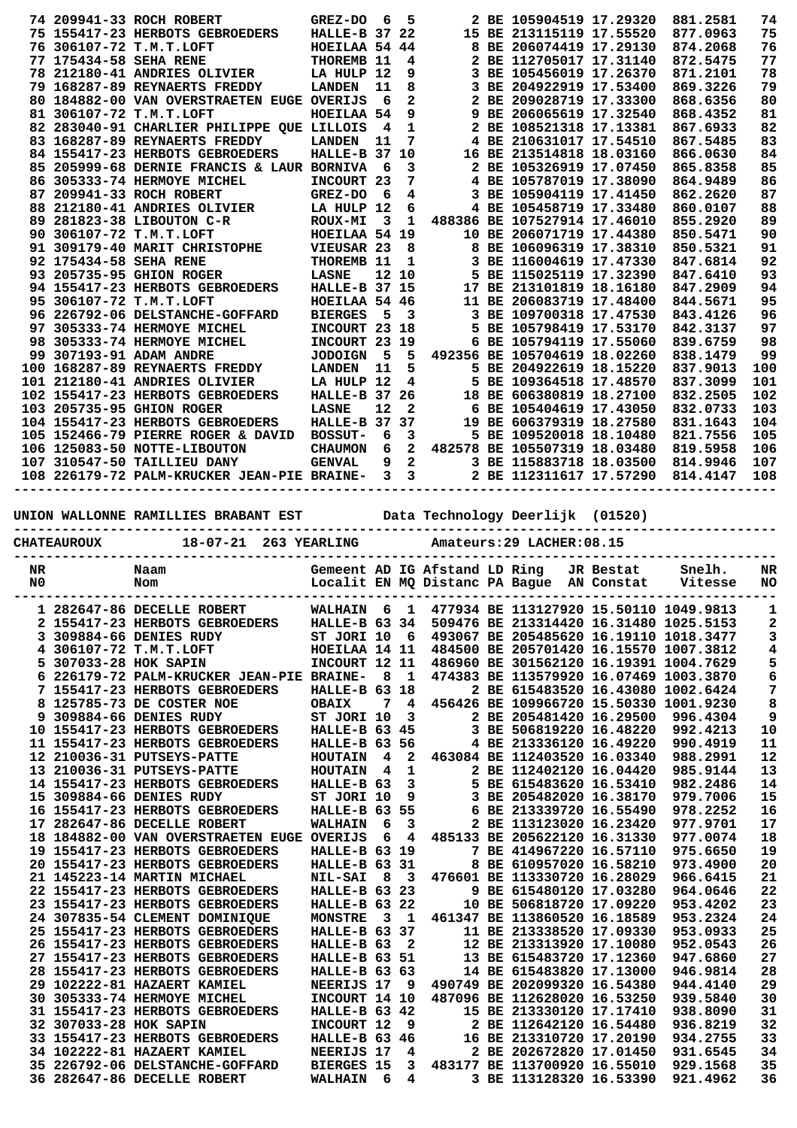|    |                        | 74 209941-33 ROCH ROBERT                                                                                                                                   | <b>GREZ-DO</b>       | 6    | 5                       |                               | 2 BE 105904519 17.29320                                                                                                                                        |           | 881.2581                                                 | 74             |
|----|------------------------|------------------------------------------------------------------------------------------------------------------------------------------------------------|----------------------|------|-------------------------|-------------------------------|----------------------------------------------------------------------------------------------------------------------------------------------------------------|-----------|----------------------------------------------------------|----------------|
|    |                        | 75 155417-23 HERBOTS GEBROEDERS                                                                                                                            | <b>HALLE-B 37 22</b> |      |                         |                               | 15 BE 213115119 17.55520                                                                                                                                       |           | 877.0963                                                 | 75             |
|    |                        | 76 306107-72 T.M.T.LOFT                                                                                                                                    | HOEILAA 54 44        |      |                         |                               | 8 BE 206074419 17.29130                                                                                                                                        |           | 874.2068                                                 | 76             |
|    | 77 175434-58 SEHA RENE |                                                                                                                                                            | THOREMB 11           |      | 4                       |                               | 2 BE 112705017 17.31140                                                                                                                                        |           | 872.5475                                                 | 77             |
|    |                        | 78 212180-41 ANDRIES OLIVIER                                                                                                                               | LA HULP 12           |      | 9                       |                               | 3 BE 105456019 17.26370                                                                                                                                        |           | 871.2101                                                 | 78             |
|    |                        | 79 168287-89 REYNAERTS FREDDY                                                                                                                              | <b>LANDEN</b>        | 11   | 8                       |                               | 3 BE 204922919 17.53400                                                                                                                                        |           | 869.3226                                                 | 79             |
|    |                        | 80 184882-00 VAN OVERSTRAETEN EUGE OVERIJS                                                                                                                 |                      | 6    | $\overline{a}$          |                               | 2 BE 209028719 17.33300                                                                                                                                        |           | 868.6356                                                 | 80             |
|    |                        | 81 306107-72 T.M.T.LOFT                                                                                                                                    | HOEILAA 54           |      | 9                       |                               | 9 BE 206065619 17.32540                                                                                                                                        |           | 868.4352                                                 | 81             |
|    |                        |                                                                                                                                                            |                      |      |                         |                               |                                                                                                                                                                |           |                                                          |                |
|    |                        | 82 283040-91 CHARLIER PHILIPPE QUE LILLOIS                                                                                                                 |                      | - 4  | $\mathbf 1$             |                               | 2 BE 108521318 17.13381                                                                                                                                        |           | 867.6933                                                 | 82             |
|    |                        | 83 168287-89 REYNAERTS FREDDY                                                                                                                              | <b>LANDEN</b>        | 11   | 7                       |                               | 4 BE 210631017 17.54510                                                                                                                                        |           | 867.5485                                                 | 83             |
|    |                        | 84 155417-23 HERBOTS GEBROEDERS                                                                                                                            | <b>HALLE-B 37 10</b> |      |                         |                               | 16 BE 213514818 18.03160                                                                                                                                       |           | 866.0630                                                 | 84             |
|    |                        | 85 205999-68 DERNIE FRANCIS & LAUR BORNIVA                                                                                                                 |                      | - 6  | 3                       |                               | 2 BE 105326919 17.07450                                                                                                                                        |           | 865.8358                                                 | 85             |
|    |                        | 86 305333-74 HERMOYE MICHEL                                                                                                                                | INCOURT 23           |      | 7                       |                               | 4 BE 105787019 17.38090                                                                                                                                        |           | 864.9489                                                 | 86             |
|    |                        |                                                                                                                                                            |                      |      |                         |                               |                                                                                                                                                                |           |                                                          |                |
|    |                        | 87 209941-33 ROCH ROBERT                                                                                                                                   | GREZ-DO              | - 6  | 4                       |                               | 3 BE 105904119 17.41450                                                                                                                                        |           | 862.2620                                                 | 87             |
|    |                        | 88 212180-41 ANDRIES OLIVIER                                                                                                                               | LA HULP 12           |      | 6                       |                               | 4 BE 105458719 17.33480                                                                                                                                        |           | 860.0107                                                 | 88             |
|    |                        | 89 281823-38 LIBOUTON C-R                                                                                                                                  | <b>ROUX-MI</b>       | 3    | 1                       |                               | 488386 BE 107527914 17.46010                                                                                                                                   |           | 855.2920                                                 | 89             |
|    |                        | 90 306107-72 T.M.T.LOFT                                                                                                                                    | HOEILAA 54 19        |      |                         |                               | 10 BE 206071719 17.44380                                                                                                                                       |           | 850.5471                                                 | 90             |
|    |                        | 91 309179-40 MARIT CHRISTOPHE                                                                                                                              | VIEUSAR 23           |      | 8                       |                               | 8 BE 106096319 17.38310                                                                                                                                        |           | 850.5321                                                 | 91             |
|    |                        |                                                                                                                                                            |                      |      |                         |                               |                                                                                                                                                                |           |                                                          |                |
|    | 92 175434-58 SEHA RENE |                                                                                                                                                            | THOREMB 11           |      | 1                       |                               | 3 BE 116004619 17.47330                                                                                                                                        |           | 847.6814                                                 | 92             |
|    |                        | 93 205735-95 GHION ROGER                                                                                                                                   | <b>LASNE</b>         |      | 12 10                   |                               | 5 BE 115025119 17.32390                                                                                                                                        |           | 847.6410                                                 | 93             |
|    |                        | 94 155417-23 HERBOTS GEBROEDERS                                                                                                                            | HALLE-B 37 15        |      |                         |                               | 17 BE 213101819 18.16180                                                                                                                                       |           | 847.2909                                                 | 94             |
|    |                        | 95 306107-72 T.M.T.LOFT                                                                                                                                    | HOEILAA 54 46        |      |                         |                               | 11 BE 206083719 17.48400                                                                                                                                       |           | 844.5671                                                 | 95             |
|    |                        | 96 226792-06 DELSTANCHE-GOFFARD                                                                                                                            | <b>BIERGES</b>       | 5    | 3                       |                               | 3 BE 109700318 17.47530                                                                                                                                        |           | 843.4126                                                 | 96             |
|    |                        |                                                                                                                                                            | INCOURT 23 18        |      |                         |                               | 5 BE 105798419 17.53170                                                                                                                                        |           | 842.3137                                                 | 97             |
|    |                        | 97 305333-74 HERMOYE MICHEL                                                                                                                                |                      |      |                         |                               |                                                                                                                                                                |           |                                                          |                |
|    |                        | 98 305333-74 HERMOYE MICHEL                                                                                                                                | INCOURT 23 19        |      |                         |                               | 6 BE 105794119 17.55060                                                                                                                                        |           | 839.6759                                                 | 98             |
|    |                        | 99 307193-91 ADAM ANDRE                                                                                                                                    | <b>JODOIGN</b>       | $-5$ | 5                       |                               | 492356 BE 105704619 18.02260                                                                                                                                   |           | 838.1479                                                 | 99             |
|    |                        | 100 168287-89 REYNAERTS FREDDY                                                                                                                             | <b>LANDEN</b>        | 11   | 5.                      |                               | 5 BE 204922619 18.15220                                                                                                                                        |           | 837.9013                                                 | 100            |
|    |                        | 101 212180-41 ANDRIES OLIVIER                                                                                                                              | LA HULP 12           |      | 4                       |                               | 5 BE 109364518 17.48570                                                                                                                                        |           | 837.3099                                                 | 101            |
|    |                        |                                                                                                                                                            | <b>HALLE-B 37 26</b> |      |                         |                               | 18 BE 606380819 18.27100                                                                                                                                       |           | 832.2505                                                 | 102            |
|    |                        | 102 155417-23 HERBOTS GEBROEDERS                                                                                                                           |                      |      |                         |                               |                                                                                                                                                                |           |                                                          |                |
|    |                        | 103 205735-95 GHION ROGER                                                                                                                                  | <b>LASNE</b>         | 12   | $\overline{\mathbf{2}}$ |                               | 6 BE 105404619 17.43050                                                                                                                                        |           | 832.0733                                                 | 103            |
|    |                        | 104 155417-23 HERBOTS GEBROEDERS                                                                                                                           | HALLE-B 37 37        |      |                         |                               | 19 BE 606379319 18.27580                                                                                                                                       |           | 831.1643                                                 | 104            |
|    |                        | 105 152466-79 PIERRE ROGER & DAVID                                                                                                                         | <b>BOSSUT-</b>       | 6    | 3                       |                               | 5 BE 109520018 18.10480                                                                                                                                        |           | 821.7556                                                 | 105            |
|    |                        | 106 125083-50 NOTTE-LIBOUTON                                                                                                                               | <b>CHAUMON</b>       | 6    |                         |                               | 2 482578 BE 105507319 18.03480                                                                                                                                 |           | 819.5958                                                 | 106            |
|    |                        |                                                                                                                                                            |                      | 9    | $\overline{a}$          |                               |                                                                                                                                                                |           |                                                          |                |
|    |                        | 107 310547-50 TAILLIEU DANY                                                                                                                                | <b>GENVAL</b>        |      |                         |                               | 3 BE 115883718 18.03500                                                                                                                                        |           | 814.9946                                                 | 107            |
|    |                        | 108 226179-72 PALM-KRUCKER JEAN-PIE BRAINE- 3 3                                                                                                            |                      |      |                         |                               | 2 BE 112311617 17.57290                                                                                                                                        |           | 814.4147                                                 | 108            |
|    |                        | UNION WALLONNE RAMILLIES BRABANT EST Data Technology Deerlijk (01520)                                                                                      |                      |      |                         |                               |                                                                                                                                                                |           |                                                          |                |
|    | <b>CHATEAUROUX</b>     | $18 - 07 - 21$                                                                                                                                             | 263 YEARLING         |      |                         |                               | Amateurs: 29 LACHER: 08.15                                                                                                                                     |           |                                                          |                |
| NR |                        | Naam                                                                                                                                                       |                      |      |                         | Gemeent AD IG Afstand LD Ring |                                                                                                                                                                | JR Bestat | Snelh.                                                   | NR             |
| N0 |                        | Nom                                                                                                                                                        |                      |      |                         |                               | Localit EN MQ Distanc PA Bague AN Constat                                                                                                                      |           | Vitesse                                                  | NO.            |
|    |                        |                                                                                                                                                            |                      |      |                         |                               |                                                                                                                                                                |           |                                                          |                |
|    |                        | 1 282647-86 DECELLE ROBERT                                                                                                                                 |                      |      |                         |                               | WALHAIN 6 1 477934 BE 113127920 15.50110 1049.9813                                                                                                             |           |                                                          | - 1            |
|    |                        |                                                                                                                                                            |                      |      |                         |                               |                                                                                                                                                                |           |                                                          |                |
|    |                        | 2 155417-23 HERBOTS GEBROEDERS HALLE-B 63 34 509476 BE 213314420 16.31480 1025.5153                                                                        |                      |      |                         |                               |                                                                                                                                                                |           |                                                          | $\mathbf{2}$   |
|    |                        |                                                                                                                                                            |                      |      |                         |                               |                                                                                                                                                                |           |                                                          | $\mathbf{3}$   |
|    |                        | 3 309884-66 DENIES RUDY 5T JORI 10 6 493067 BE 205485620 16.19110 1018.3477<br>4 306107-72 T.M.T.LOFT HOEILAA 14 11 484500 BE 205701420 16.15570 1007.3812 |                      |      |                         |                               |                                                                                                                                                                |           |                                                          | $\pmb{4}$      |
|    |                        | INCOURT 12 11 486960 BE 301562120 16.19391 1004.7629<br>5 307033-28 HOK SAPIN                                                                              |                      |      |                         |                               |                                                                                                                                                                |           |                                                          | 5              |
|    |                        | 6 226179-72 PALM-KRUCKER JEAN-PIE BRAINE- 8 1 474383 BE 113579920 16.07469 1003.3870                                                                       |                      |      |                         |                               |                                                                                                                                                                |           |                                                          | 6              |
|    |                        | 7 155417-23 HERBOTS GEBROEDERS                                                                                                                             | <b>HALLE-B 63 18</b> |      |                         |                               |                                                                                                                                                                |           | 2 BE 615483520 16.43080 1002.6424                        | $\overline{7}$ |
|    |                        | 8 125785-73 DE COSTER NOE                                                                                                                                  |                      |      |                         |                               | 7 4 456426 BE 109966720 15.50330 1001.9230                                                                                                                     |           |                                                          | 8              |
|    |                        | 9 309884-66 DENIES RUDY                                                                                                                                    |                      |      |                         |                               | 2 BE 205481420 16.29500                                                                                                                                        |           |                                                          |                |
|    |                        |                                                                                                                                                            |                      |      |                         |                               |                                                                                                                                                                |           | 996.4304                                                 | 9              |
|    |                        | 10 155417-23 HERBOTS GEBROEDERS HALLE-B 63 45                                                                                                              |                      |      |                         |                               | 3 BE 506819220 16.48220 992.4213                                                                                                                               |           |                                                          | 10             |
|    |                        | 11 155417-23 HERBOTS GEBROEDERS                                                                                                                            |                      |      |                         |                               | HALLE-B 63 56 4 BE 213336120 16.49220                                                                                                                          |           | 990.4919                                                 | 11             |
|    |                        | 12 210036-31 PUTSEYS-PATTE                                                                                                                                 |                      |      |                         |                               | HOUTAIN 4 2 463084 BE 112403520 16.03340 988.2991                                                                                                              |           |                                                          | 12             |
|    |                        | 13 210036-31 PUTSEYS-PATTE                                                                                                                                 |                      |      |                         |                               |                                                                                                                                                                |           |                                                          | 13             |
|    |                        | 14 155417-23 HERBOTS GEBROEDERS                                                                                                                            |                      |      |                         |                               |                                                                                                                                                                |           | HOUTAIN 4 1 2 BE 112402120 16.04420 985.9144<br>982.2486 | 14             |
|    |                        | 15 309884-66 DENIES RUDY                                                                                                                                   |                      |      |                         |                               | HALLE-B 63 3 5 BE 615483620 16.53410                                                                                                                           |           | 979.7006                                                 |                |
|    |                        |                                                                                                                                                            |                      |      |                         |                               |                                                                                                                                                                |           |                                                          | 15             |
|    |                        | 16 155417-23 HERBOTS GEBROEDERS                                                                                                                            |                      |      |                         |                               | ST JORI 10 9 3 BE 205482020 16.38170<br>HALLE-B 63 55 6 BE 213339720 16.55490                                                                                  |           | 978.2252                                                 | 16             |
|    |                        | 17 282647-86 DECELLE ROBERT                                                                                                                                |                      |      |                         |                               | WALHAIN 6 3 2 BE 113123020 16.23420                                                                                                                            |           | 977.9701                                                 | 17             |
|    |                        | 18 184882-00 VAN OVERSTRAETEN EUGE OVERIJS 6 4 485133 BE 205622120 16.31330                                                                                |                      |      |                         |                               |                                                                                                                                                                |           | 977.0074                                                 | 18             |
|    |                        | 19 155417-23 HERBOTS GEBROEDERS                                                                                                                            | HALLE-B 63 19        |      |                         |                               | 7 BE 414967220 16.57110                                                                                                                                        |           | 975.6650                                                 | 19             |
|    |                        | 20 155417-23 HERBOTS GEBROEDERS                                                                                                                            | HALLE-B 63 31        |      |                         |                               | 8 BE 610957020 16.58210                                                                                                                                        |           | 973.4900                                                 | 20             |
|    |                        | 21 145223-14 MARTIN MICHAEL                                                                                                                                |                      |      |                         |                               | NIL-SAI 8 3 476601 BE 113330720 16.28029                                                                                                                       |           | 966.6415                                                 | 21             |
|    |                        | 22 155417-23 HERBOTS GEBROEDERS                                                                                                                            |                      |      |                         |                               |                                                                                                                                                                |           | 964.0646                                                 |                |
|    |                        |                                                                                                                                                            | <b>HALLE-B 63 23</b> |      |                         |                               | 9 BE 615480120 17.03280                                                                                                                                        |           |                                                          | 22             |
|    |                        | 23 155417-23 HERBOTS GEBROEDERS                                                                                                                            | <b>HALLE-B 63 22</b> |      |                         |                               | 10 BE 506818720 17.09220                                                                                                                                       |           | 953.4202                                                 | 23             |
|    |                        | 24 307835-54 CLEMENT DOMINIQUE                                                                                                                             |                      |      |                         |                               | MONSTRE 3 1 461347 BE 113860520 16.18589                                                                                                                       |           | 953.2324                                                 | 24             |
|    |                        | 25 155417-23 HERBOTS GEBROEDERS                                                                                                                            | <b>HALLE-B 63 37</b> |      |                         |                               | 11 BE 213338520 17.09330                                                                                                                                       |           | 953.0933                                                 | 25             |
|    |                        | 26 155417-23 HERBOTS GEBROEDERS                                                                                                                            | HALLE-B 63 2         |      |                         |                               | 12 BE 213313920 17.10080                                                                                                                                       |           | 952.0543                                                 | 26             |
|    |                        | 27 155417-23 HERBOTS GEBROEDERS                                                                                                                            | <b>HALLE-B 63 51</b> |      |                         |                               | 13 BE 615483720 17.12360                                                                                                                                       |           | 947.6860                                                 | 27             |
|    |                        | 28 155417-23 HERBOTS GEBROEDERS                                                                                                                            | <b>HALLE-B 63 63</b> |      |                         |                               | 14 BE 615483820 17.13000                                                                                                                                       |           | 946.9814                                                 | 28             |
|    |                        | 29 102222-81 HAZAERT KAMIEL                                                                                                                                |                      |      |                         |                               |                                                                                                                                                                |           | 944.4140                                                 |                |
|    |                        |                                                                                                                                                            |                      |      |                         |                               | NEERIJS 17 9 490749 BE 202099320 16.54380                                                                                                                      |           |                                                          | 29             |
|    |                        | 30 305333-74 HERMOYE MICHEL                                                                                                                                |                      |      |                         |                               | INCOURT 14 10 487096 BE 112628020 16.53250                                                                                                                     |           | 939.5840                                                 | 30             |
|    |                        | 31 155417-23 HERBOTS GEBROEDERS                                                                                                                            |                      |      |                         |                               |                                                                                                                                                                |           | 938.8090                                                 | 31             |
|    | 32 307033-28 HOK SAPIN |                                                                                                                                                            |                      |      |                         |                               |                                                                                                                                                                |           | 936.8219                                                 | 32             |
|    |                        | 33 155417-23 HERBOTS GEBROEDERS                                                                                                                            |                      |      |                         |                               |                                                                                                                                                                |           | 934.2755                                                 | 33             |
|    |                        | 34 102222-81 HAZAERT KAMIEL                                                                                                                                |                      |      |                         |                               | 2 BE 202672820 17.01450                                                                                                                                        |           | 931.6545                                                 | 34             |
|    |                        |                                                                                                                                                            |                      |      |                         |                               |                                                                                                                                                                |           |                                                          |                |
|    |                        | 35 226792-06 DELSTANCHE-GOFFARD BIERGES 15 3 483177 BE 113700920 16.55010<br>36 282647-86 DECELLE ROBERT                                                   | <b>WALHAIN</b> 6 4   |      |                         |                               | 15 BE 213330120 17.17410<br>15 BE 213330120 17.17410<br>HALLE-B 63 46 16 BE 213310720 17.20190<br>NEERIJS 17 4 2 BE 200000 17.20190<br>3 BE 113128320 16.53390 |           | 929.1568<br>921.4962                                     | 35<br>36       |